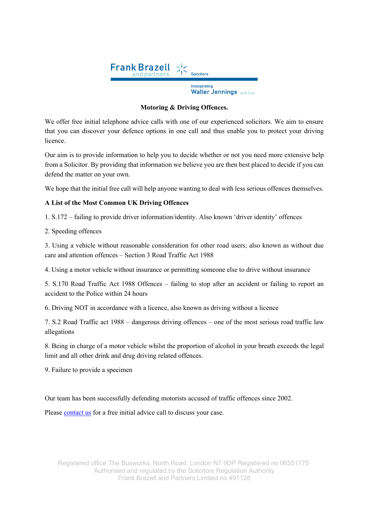

# **Motoring & Driving Offences.**

We offer free initial telephone advice calls with one of our experienced solicitors. We aim to ensure that you can discover your defence options in one call and thus enable you to protect your driving licence.

Our aim is to provide information to help you to decide whether or not you need more extensive help from a Solicitor. By providing that information we believe you are then best placed to decide if you can defend the matter on your own.

We hope that the initial free call will help anyone wanting to deal with less serious offences themselves.

# **A List of the Most Common UK Driving Offences**

1. S.172 – failing to provide driver information/identity. Also known 'driver identity' offences

2. Speeding offences

3. Using a vehicle without reasonable consideration for other road users; also known as without due care and attention offences – Section 3 Road Traffic Act 1988

4. Using a motor vehicle without insurance or permitting someone else to drive without insurance

5. S.170 Road Traffic Act 1988 Offences – failing to stop after an accident or failing to report an accident to the Police within 24 hours

6. Driving NOT in accordance with a licence, also known as driving without a licence

7. S.2 Road Traffic act 1988 – dangerous driving offences – one of the most serious road traffic law allegations

8. Being in charge of a motor vehicle whilst the proportion of alcohol in your breath exceeds the legal limit and all other drink and drug driving related offences.

9. Failure to provide a specimen

Our team has been successfully defending motorists accused of traffic offences since 2002.

Please contact us for a free initial advice call to discuss your case.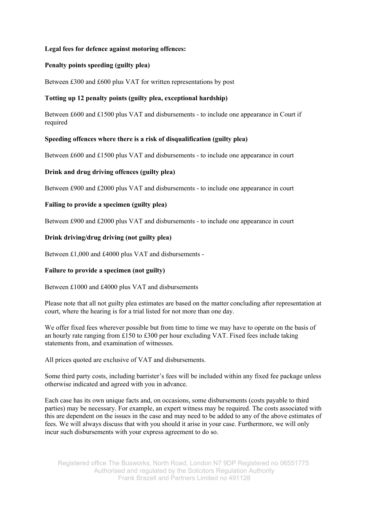#### **Legal fees for defence against motoring offences:**

## **Penalty points speeding (guilty plea)**

Between £300 and £600 plus VAT for written representations by post

## **Totting up 12 penalty points (guilty plea, exceptional hardship)**

Between £600 and £1500 plus VAT and disbursements - to include one appearance in Court if required

#### **Speeding offences where there is a risk of disqualification (guilty plea)**

Between £600 and £1500 plus VAT and disbursements - to include one appearance in court

#### **Drink and drug driving offences (guilty plea)**

Between £900 and £2000 plus VAT and disbursements - to include one appearance in court

#### **Failing to provide a specimen (guilty plea)**

Between £900 and £2000 plus VAT and disbursements - to include one appearance in court

#### **Drink driving/drug driving (not guilty plea)**

Between £1,000 and £4000 plus VAT and disbursements -

# **Failure to provide a specimen (not guilty)**

Between £1000 and £4000 plus VAT and disbursements

Please note that all not guilty plea estimates are based on the matter concluding after representation at court, where the hearing is for a trial listed for not more than one day.

We offer fixed fees wherever possible but from time to time we may have to operate on the basis of an hourly rate ranging from £150 to £300 per hour excluding VAT. Fixed fees include taking statements from, and examination of witnesses.

All prices quoted are exclusive of VAT and disbursements.

Some third party costs, including barrister's fees will be included within any fixed fee package unless otherwise indicated and agreed with you in advance.

Each case has its own unique facts and, on occasions, some disbursements (costs payable to third parties) may be necessary. For example, an expert witness may be required. The costs associated with this are dependent on the issues in the case and may need to be added to any of the above estimates of fees. We will always discuss that with you should it arise in your case. Furthermore, we will only incur such disbursements with your express agreement to do so.